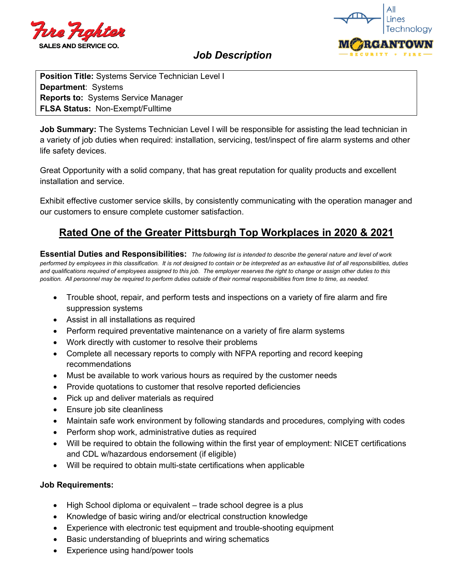



# *Job Description*

**Position Title:** Systems Service Technician Level I **Department**: Systems **Reports to:** Systems Service Manager **FLSA Status:** Non-Exempt/Fulltime

**Job Summary:** The Systems Technician Level I will be responsible for assisting the lead technician in a variety of job duties when required: installation, servicing, test/inspect of fire alarm systems and other life safety devices.

Great Opportunity with a solid company, that has great reputation for quality products and excellent installation and service.

Exhibit effective customer service skills, by consistently communicating with the operation manager and our customers to ensure complete customer satisfaction.

# **Rated One of the Greater Pittsburgh Top Workplaces in 2020 & 2021**

**Essential Duties and Responsibilities:** *The following list is intended to describe the general nature and level of work performed by employees in this classification. It is not designed to contain or be interpreted as an exhaustive list of all responsibilities, duties and qualifications required of employees assigned to this job. The employer reserves the right to change or assign other duties to this position. All personnel may be required to perform duties outside of their normal responsibilities from time to time, as needed.*

- Trouble shoot, repair, and perform tests and inspections on a variety of fire alarm and fire suppression systems
- Assist in all installations as required
- Perform required preventative maintenance on a variety of fire alarm systems
- Work directly with customer to resolve their problems
- Complete all necessary reports to comply with NFPA reporting and record keeping recommendations
- Must be available to work various hours as required by the customer needs
- Provide quotations to customer that resolve reported deficiencies
- Pick up and deliver materials as required
- Ensure job site cleanliness
- Maintain safe work environment by following standards and procedures, complying with codes
- Perform shop work, administrative duties as required
- Will be required to obtain the following within the first year of employment: NICET certifications and CDL w/hazardous endorsement (if eligible)
- Will be required to obtain multi-state certifications when applicable

### **Job Requirements:**

- High School diploma or equivalent trade school degree is a plus
- Knowledge of basic wiring and/or electrical construction knowledge
- Experience with electronic test equipment and trouble-shooting equipment
- Basic understanding of blueprints and wiring schematics
- Experience using hand/power tools